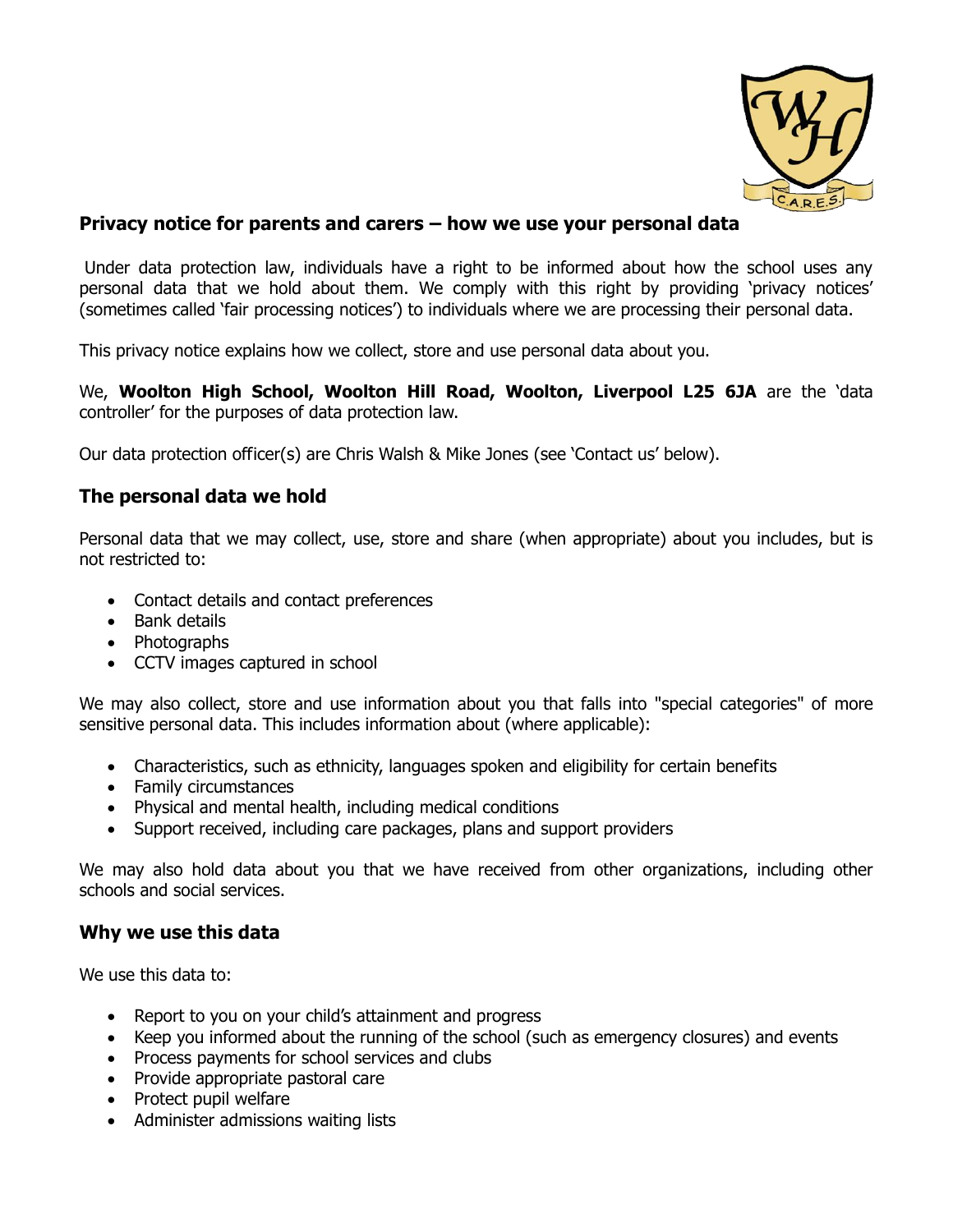

### **Privacy notice for parents and carers – how we use your personal data**

Under data protection law, individuals have a right to be informed about how the school uses any personal data that we hold about them. We comply with this right by providing 'privacy notices' (sometimes called 'fair processing notices') to individuals where we are processing their personal data.

This privacy notice explains how we collect, store and use personal data about you.

We, **Woolton High School, Woolton Hill Road, Woolton, Liverpool L25 6JA** are the 'data controller' for the purposes of data protection law.

Our data protection officer(s) are Chris Walsh & Mike Jones (see 'Contact us' below).

### **The personal data we hold**

Personal data that we may collect, use, store and share (when appropriate) about you includes, but is not restricted to:

- Contact details and contact preferences
- Bank details
- Photographs
- CCTV images captured in school

We may also collect, store and use information about you that falls into "special categories" of more sensitive personal data. This includes information about (where applicable):

- Characteristics, such as ethnicity, languages spoken and eligibility for certain benefits
- Family circumstances
- Physical and mental health, including medical conditions
- Support received, including care packages, plans and support providers

We may also hold data about you that we have received from other organizations, including other schools and social services.

#### **Why we use this data**

We use this data to:

- Report to you on your child's attainment and progress
- Keep you informed about the running of the school (such as emergency closures) and events
- Process payments for school services and clubs
- Provide appropriate pastoral care
- Protect pupil welfare
- Administer admissions waiting lists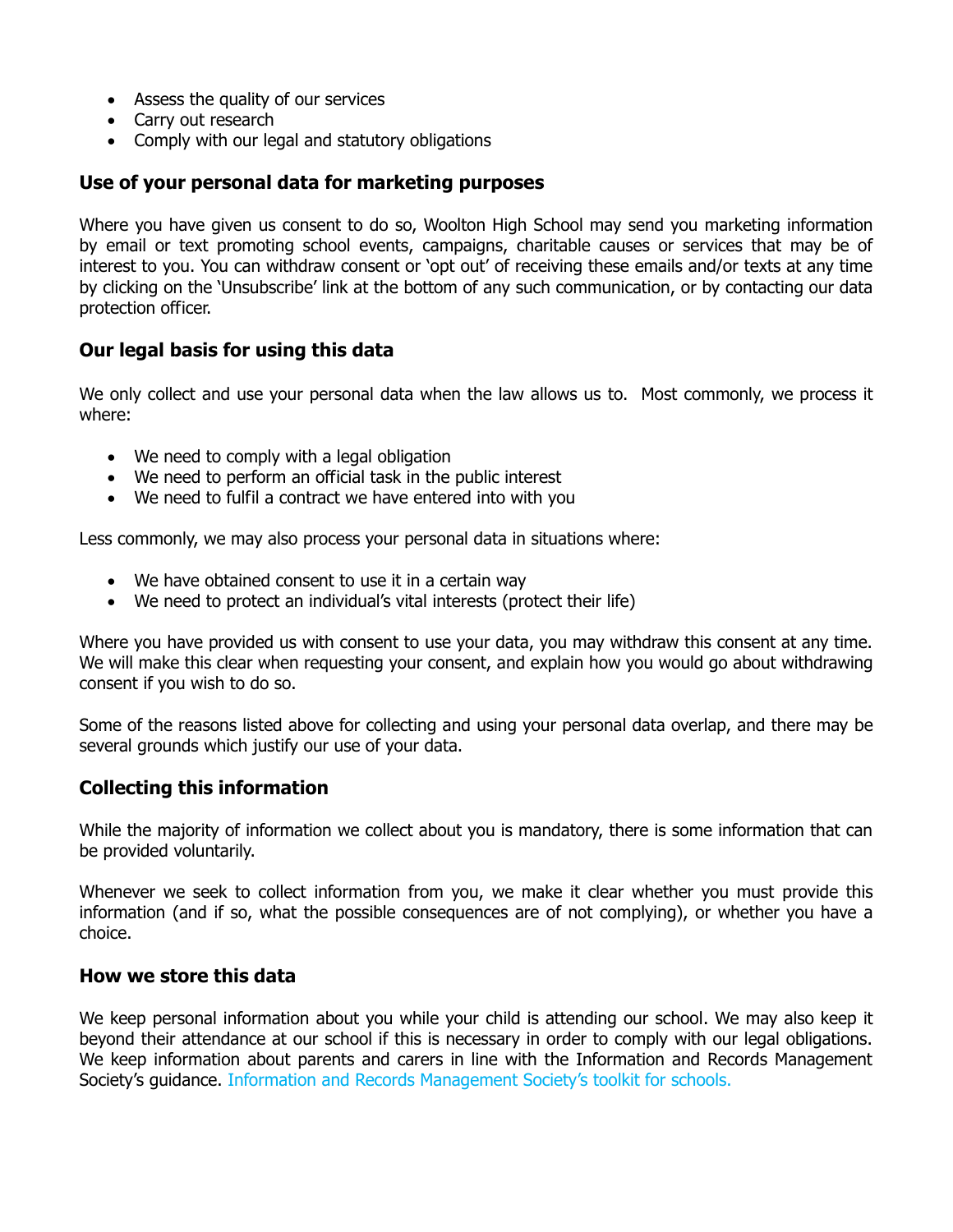- Assess the quality of our services
- Carry out research
- Comply with our legal and statutory obligations

### **Use of your personal data for marketing purposes**

Where you have given us consent to do so, Woolton High School may send you marketing information by email or text promoting school events, campaigns, charitable causes or services that may be of interest to you. You can withdraw consent or 'opt out' of receiving these emails and/or texts at any time by clicking on the 'Unsubscribe' link at the bottom of any such communication, or by contacting our data protection officer.

# **Our legal basis for using this data**

We only collect and use your personal data when the law allows us to. Most commonly, we process it where:

- We need to comply with a legal obligation
- We need to perform an official task in the public interest
- We need to fulfil a contract we have entered into with you

Less commonly, we may also process your personal data in situations where:

- We have obtained consent to use it in a certain way
- We need to protect an individual's vital interests (protect their life)

Where you have provided us with consent to use your data, you may withdraw this consent at any time. We will make this clear when requesting your consent, and explain how you would go about withdrawing consent if you wish to do so.

Some of the reasons listed above for collecting and using your personal data overlap, and there may be several grounds which justify our use of your data.

#### **Collecting this information**

While the majority of information we collect about you is mandatory, there is some information that can be provided voluntarily.

Whenever we seek to collect information from you, we make it clear whether you must provide this information (and if so, what the possible consequences are of not complying), or whether you have a choice.

### **How we store this data**

We keep personal information about you while your child is attending our school. We may also keep it beyond their attendance at our school if this is necessary in order to comply with our legal obligations. We keep information about parents and carers in line with the Information and Records Management Society's guidance. Information and Records Management Society's toolkit for schools.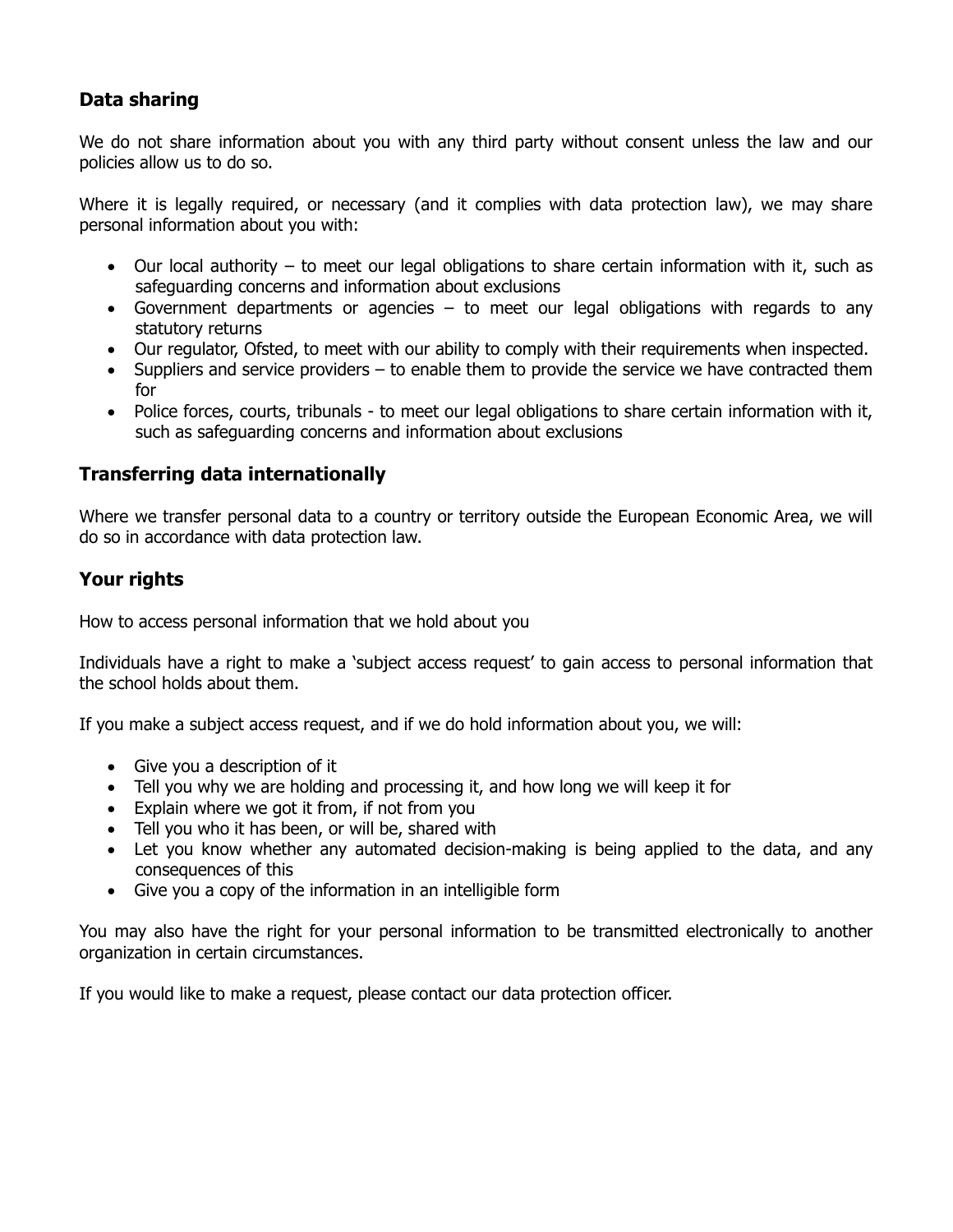# **Data sharing**

We do not share information about you with any third party without consent unless the law and our policies allow us to do so.

Where it is legally required, or necessary (and it complies with data protection law), we may share personal information about you with:

- Our local authority to meet our legal obligations to share certain information with it, such as safeguarding concerns and information about exclusions
- Government departments or agencies  $-$  to meet our legal obligations with regards to any statutory returns
- Our regulator, Ofsted, to meet with our ability to comply with their requirements when inspected.
- Suppliers and service providers to enable them to provide the service we have contracted them for
- Police forces, courts, tribunals to meet our legal obligations to share certain information with it, such as safeguarding concerns and information about exclusions

# **Transferring data internationally**

Where we transfer personal data to a country or territory outside the European Economic Area, we will do so in accordance with data protection law.

# **Your rights**

How to access personal information that we hold about you

Individuals have a right to make a 'subject access request' to gain access to personal information that the school holds about them.

If you make a subject access request, and if we do hold information about you, we will:

- Give you a description of it
- Tell you why we are holding and processing it, and how long we will keep it for
- Explain where we got it from, if not from you
- Tell you who it has been, or will be, shared with
- Let you know whether any automated decision-making is being applied to the data, and any consequences of this
- Give you a copy of the information in an intelligible form

You may also have the right for your personal information to be transmitted electronically to another organization in certain circumstances.

If you would like to make a request, please contact our data protection officer.